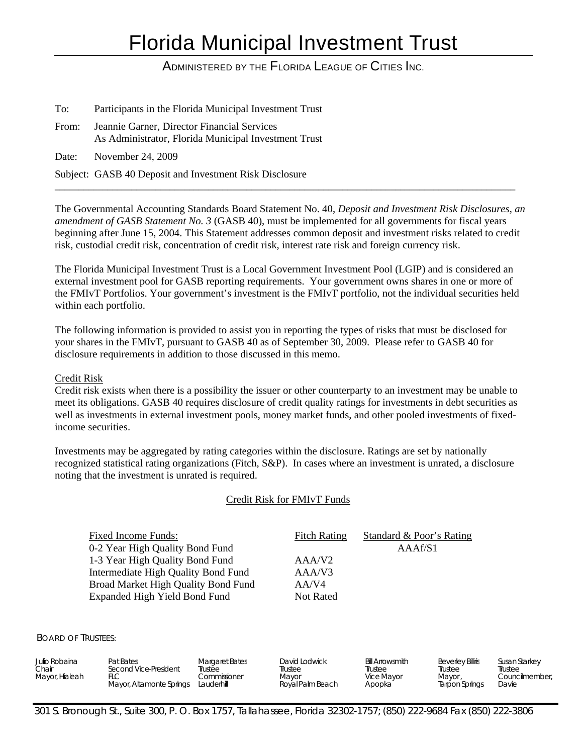# Florida Municipal Investment Trust

# ADMINISTERED BY THE FLORIDA LEAGUE OF CITIES INC.

To: Participants in the Florida Municipal Investment Trust From: Jeannie Garner, Director Financial Services As Administrator, Florida Municipal Investment Trust Date: November 24, 2009 Subject: GASB 40 Deposit and Investment Risk Disclosure

The Governmental Accounting Standards Board Statement No. 40, *Deposit and Investment Risk Disclosures, an amendment of GASB Statement No. 3* (GASB 40), must be implemented for all governments for fiscal years beginning after June 15, 2004. This Statement addresses common deposit and investment risks related to credit risk, custodial credit risk, concentration of credit risk, interest rate risk and foreign currency risk.

\_\_\_\_\_\_\_\_\_\_\_\_\_\_\_\_\_\_\_\_\_\_\_\_\_\_\_\_\_\_\_\_\_\_\_\_\_\_\_\_\_\_\_\_\_\_\_\_\_\_\_\_\_\_\_\_\_\_\_\_\_\_\_\_\_\_\_\_\_\_\_\_\_\_\_\_\_\_\_\_\_\_\_\_\_\_\_\_\_\_\_\_\_\_\_\_

The Florida Municipal Investment Trust is a Local Government Investment Pool (LGIP) and is considered an external investment pool for GASB reporting requirements. Your government owns shares in one or more of the FMIvT Portfolios. Your government's investment is the FMIvT portfolio, not the individual securities held within each portfolio.

The following information is provided to assist you in reporting the types of risks that must be disclosed for your shares in the FMIvT, pursuant to GASB 40 as of September 30, 2009. Please refer to GASB 40 for disclosure requirements in addition to those discussed in this memo.

#### Credit Risk

Credit risk exists when there is a possibility the issuer or other counterparty to an investment may be unable to meet its obligations. GASB 40 requires disclosure of credit quality ratings for investments in debt securities as well as investments in external investment pools, money market funds, and other pooled investments of fixedincome securities.

Investments may be aggregated by rating categories within the disclosure. Ratings are set by nationally recognized statistical rating organizations (Fitch, S&P). In cases where an investment is unrated, a disclosure noting that the investment is unrated is required.

### Credit Risk for FMIvT Funds

| Fixed Income Funds:                 | <b>Fitch Rating</b> | Standard & Poor's Rating |
|-------------------------------------|---------------------|--------------------------|
| 0-2 Year High Quality Bond Fund     |                     | AAAf/S1                  |
| 1-3 Year High Quality Bond Fund     | AAA/V2              |                          |
| Intermediate High Quality Bond Fund | AAA/V3              |                          |
| Broad Market High Quality Bond Fund | AA/V4               |                          |
| Expanded High Yield Bond Fund       | Not Rated           |                          |

BOARD OF TRUSTEES:

| Julio Robaina<br>Pat Bates<br>Chair<br>Mayor, Hialeah<br>FLC | <b>Margaret Bates</b><br>Second Vice-President<br>Trustee<br>Commissioner<br>Mayor, Altamonte Springs<br>Lauderhill | David Lodwick<br>Trustee<br>Mayor<br>Royal Palm Beach | <b>Bill Arrowsmith</b><br>Trustee<br>Vice Mayor<br>Apopka | <b>Beverley Billiris</b><br>Trustee<br>Mayor,<br><b>Tarpon Springs</b> | Susan Starkey<br>Trustee<br>Councilmember.<br>Davie |
|--------------------------------------------------------------|---------------------------------------------------------------------------------------------------------------------|-------------------------------------------------------|-----------------------------------------------------------|------------------------------------------------------------------------|-----------------------------------------------------|
|--------------------------------------------------------------|---------------------------------------------------------------------------------------------------------------------|-------------------------------------------------------|-----------------------------------------------------------|------------------------------------------------------------------------|-----------------------------------------------------|

301 S. Bronough St., Suite 300, P. O. Box 1757, Tallahassee, Florida 32302-1757; (850) 222-9684 Fax (850) 222-3806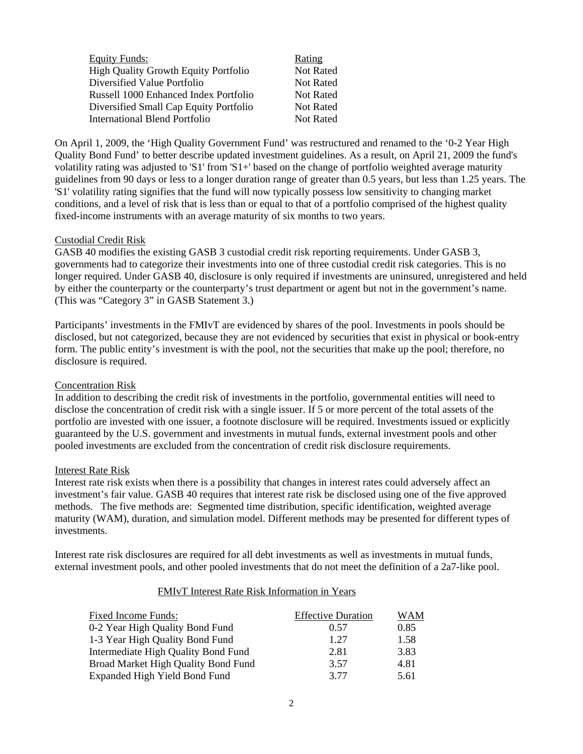| <b>Equity Funds:</b>                        | Rating           |
|---------------------------------------------|------------------|
| <b>High Quality Growth Equity Portfolio</b> | <b>Not Rated</b> |
| Diversified Value Portfolio                 | <b>Not Rated</b> |
| Russell 1000 Enhanced Index Portfolio       | Not Rated        |
| Diversified Small Cap Equity Portfolio      | Not Rated        |
| International Blend Portfolio               | Not Rated        |

On April 1, 2009, the 'High Quality Government Fund' was restructured and renamed to the '0-2 Year High Quality Bond Fund' to better describe updated investment guidelines. As a result, on April 21, 2009 the fund's volatility rating was adjusted to 'S1' from 'S1+' based on the change of portfolio weighted average maturity guidelines from 90 days or less to a longer duration range of greater than 0.5 years, but less than 1.25 years. The 'S1' volatility rating signifies that the fund will now typically possess low sensitivity to changing market conditions, and a level of risk that is less than or equal to that of a portfolio comprised of the highest quality fixed-income instruments with an average maturity of six months to two years.

#### Custodial Credit Risk

GASB 40 modifies the existing GASB 3 custodial credit risk reporting requirements. Under GASB 3, governments had to categorize their investments into one of three custodial credit risk categories. This is no longer required. Under GASB 40, disclosure is only required if investments are uninsured, unregistered and held by either the counterparty or the counterparty's trust department or agent but not in the government's name. (This was "Category 3" in GASB Statement 3.)

Participants' investments in the FMIvT are evidenced by shares of the pool. Investments in pools should be disclosed, but not categorized, because they are not evidenced by securities that exist in physical or book-entry form. The public entity's investment is with the pool, not the securities that make up the pool; therefore, no disclosure is required.

#### Concentration Risk

In addition to describing the credit risk of investments in the portfolio, governmental entities will need to disclose the concentration of credit risk with a single issuer. If 5 or more percent of the total assets of the portfolio are invested with one issuer, a footnote disclosure will be required. Investments issued or explicitly guaranteed by the U.S. government and investments in mutual funds, external investment pools and other pooled investments are excluded from the concentration of credit risk disclosure requirements.

#### Interest Rate Risk

Interest rate risk exists when there is a possibility that changes in interest rates could adversely affect an investment's fair value. GASB 40 requires that interest rate risk be disclosed using one of the five approved methods. The five methods are: Segmented time distribution, specific identification, weighted average maturity (WAM), duration, and simulation model. Different methods may be presented for different types of investments.

Interest rate risk disclosures are required for all debt investments as well as investments in mutual funds, external investment pools, and other pooled investments that do not meet the definition of a 2a7-like pool.

#### FMIvT Interest Rate Risk Information in Years

| <b>Fixed Income Funds:</b>          | <b>Effective Duration</b> | WAM  |
|-------------------------------------|---------------------------|------|
| 0-2 Year High Quality Bond Fund     | 0.57                      | 0.85 |
| 1-3 Year High Quality Bond Fund     | 1.27                      | 1.58 |
| Intermediate High Quality Bond Fund | 2.81                      | 3.83 |
| Broad Market High Quality Bond Fund | 3.57                      | 4.81 |
| Expanded High Yield Bond Fund       | 3.77                      | 5.61 |